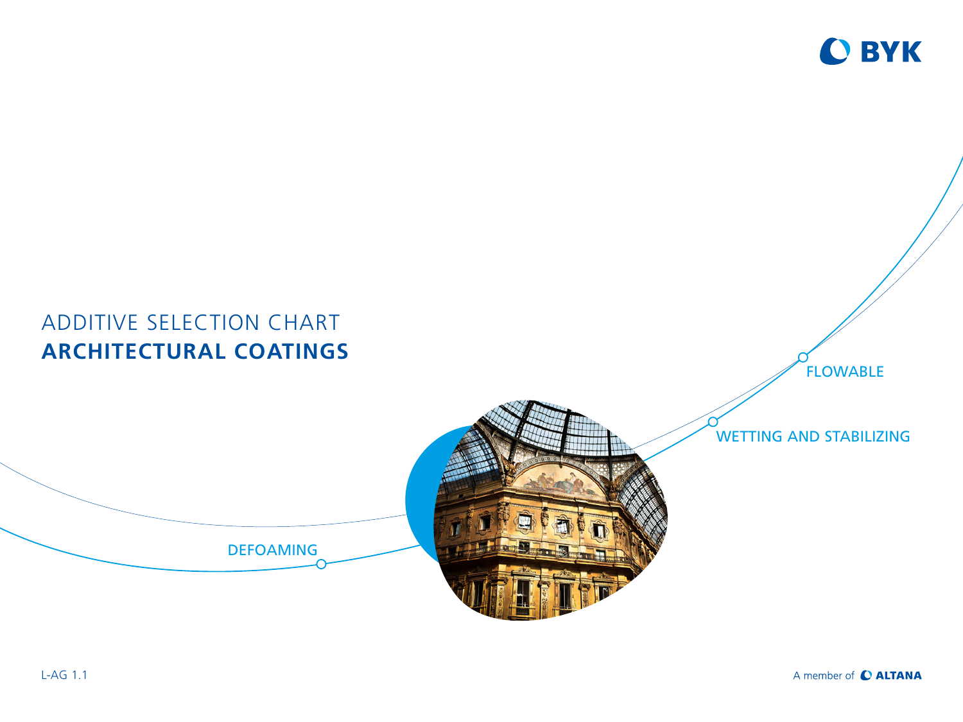

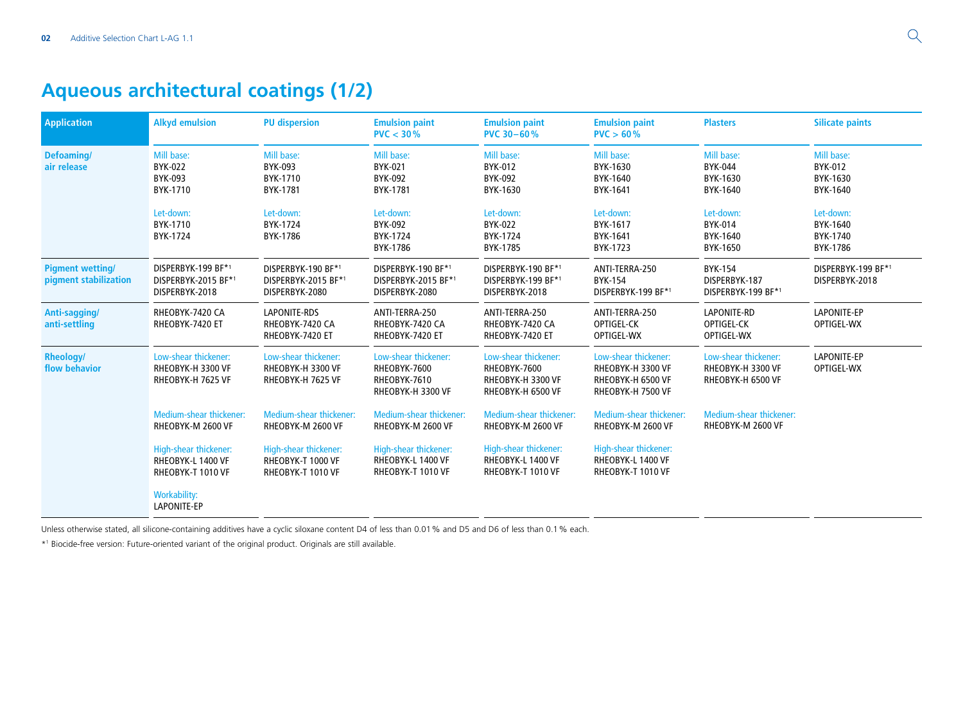## **Aqueous architectural coatings (1/2)**

| <b>Application</b>                               | <b>Alkyd emulsion</b>                                           | <b>PU dispersion</b>                                            | <b>Emulsion paint</b><br>PVC < 30%                                        | <b>Emulsion paint</b><br><b>PVC 30-60%</b>                                     | <b>Emulsion paint</b><br>PVC > 60%                                                  | <b>Plasters</b>                                                | <b>Silicate paints</b>                               |
|--------------------------------------------------|-----------------------------------------------------------------|-----------------------------------------------------------------|---------------------------------------------------------------------------|--------------------------------------------------------------------------------|-------------------------------------------------------------------------------------|----------------------------------------------------------------|------------------------------------------------------|
| Defoaming/<br>air release                        | Mill base:<br><b>BYK-022</b><br>BYK-093<br>BYK-1710             | Mill base:<br>BYK-093<br>BYK-1710<br>BYK-1781                   | Mill base:<br>BYK-021<br>BYK-092<br>BYK-1781                              | Mill base:<br>BYK-012<br>BYK-092<br>BYK-1630                                   | Mill base:<br>BYK-1630<br>BYK-1640<br>BYK-1641                                      | Mill base:<br>BYK-044<br>BYK-1630<br>BYK-1640                  | Mill base:<br><b>BYK-012</b><br>BYK-1630<br>BYK-1640 |
|                                                  | Let-down:<br>BYK-1710<br>BYK-1724                               | Let-down:<br>BYK-1724<br>BYK-1786                               | Let-down:<br>BYK-092<br>BYK-1724<br>BYK-1786                              | Let-down:<br>BYK-022<br>BYK-1724<br>BYK-1785                                   | Let-down:<br>BYK-1617<br>BYK-1641<br>BYK-1723                                       | Let-down:<br>BYK-014<br>BYK-1640<br>BYK-1650                   | Let-down:<br>BYK-1640<br>BYK-1740<br>BYK-1786        |
| <b>Pigment wetting/</b><br>pigment stabilization | DISPERBYK-199 BF*1<br>DISPERBYK-2015 BF*1<br>DISPERBYK-2018     | DISPERBYK-190 BF*1<br>DISPERBYK-2015 BF*1<br>DISPERBYK-2080     | DISPERBYK-190 BF*1<br>DISPERBYK-2015 BF*1<br>DISPERBYK-2080               | DISPERBYK-190 BF*1<br>DISPERBYK-199 BF*1<br>DISPERBYK-2018                     | ANTI-TERRA-250<br>BYK-154<br>DISPERBYK-199 BF*1                                     | <b>BYK-154</b><br>DISPERBYK-187<br>DISPERBYK-199 BF*1          | DISPERBYK-199 BF*1<br>DISPERBYK-2018                 |
| Anti-sagging/<br>anti-settling                   | RHEOBYK-7420 CA<br>RHEOBYK-7420 ET                              | <b>LAPONITE-RDS</b><br>RHEOBYK-7420 CA<br>RHEOBYK-7420 ET       | ANTI-TERRA-250<br>RHEOBYK-7420 CA<br>RHEOBYK-7420 ET                      | ANTI-TERRA-250<br>RHEOBYK-7420 CA<br>RHEOBYK-7420 ET                           | ANTI-TERRA-250<br>OPTIGEL-CK<br>OPTIGEL-WX                                          | LAPONITE-RD<br>OPTIGEL-CK<br>OPTIGEL-WX                        | LAPONITE-EP<br>OPTIGEL-WX                            |
| <b>Rheology/</b><br>flow behavior                | Low-shear thickener:<br>RHEOBYK-H 3300 VF<br>RHEOBYK-H 7625 VF  | Low-shear thickener:<br>RHEOBYK-H 3300 VF<br>RHEOBYK-H 7625 VF  | Low-shear thickener:<br>RHEOBYK-7600<br>RHEOBYK-7610<br>RHEOBYK-H 3300 VF | Low-shear thickener:<br>RHEOBYK-7600<br>RHEOBYK-H 3300 VF<br>RHEOBYK-H 6500 VF | Low-shear thickener:<br>RHEOBYK-H 3300 VF<br>RHEOBYK-H 6500 VF<br>RHEOBYK-H 7500 VF | Low-shear thickener:<br>RHEOBYK-H 3300 VF<br>RHEOBYK-H 6500 VF | <b>LAPONITE-EP</b><br>OPTIGEL-WX                     |
|                                                  | Medium-shear thickener:<br>RHEOBYK-M 2600 VF                    | Medium-shear thickener:<br>RHEOBYK-M 2600 VF                    | <b>Medium-shear thickener:</b><br>RHEOBYK-M 2600 VF                       | <b>Medium-shear thickener:</b><br>RHEOBYK-M 2600 VF                            | Medium-shear thickener:<br>RHEOBYK-M 2600 VF                                        | <b>Medium-shear thickener:</b><br>RHEOBYK-M 2600 VF            |                                                      |
|                                                  | High-shear thickener:<br>RHEOBYK-L 1400 VF<br>RHEOBYK-T 1010 VF | High-shear thickener:<br>RHEOBYK-T 1000 VF<br>RHEOBYK-T 1010 VF | High-shear thickener:<br>RHEOBYK-L 1400 VF<br>RHEOBYK-T 1010 VF           | High-shear thickener:<br>RHEOBYK-L 1400 VF<br>RHEOBYK-T 1010 VF                | High-shear thickener:<br>RHEOBYK-L 1400 VF<br>RHEOBYK-T 1010 VF                     |                                                                |                                                      |
|                                                  | <b>Workability:</b><br>LAPONITE-EP                              |                                                                 |                                                                           |                                                                                |                                                                                     |                                                                |                                                      |

Unless otherwise stated, all silicone-containing additives have a cyclic siloxane content D4 of less than 0.01% and D5 and D6 of less than 0.1% each.

\*1 Biocide-free version: Future-oriented variant of the original product. Originals are still available.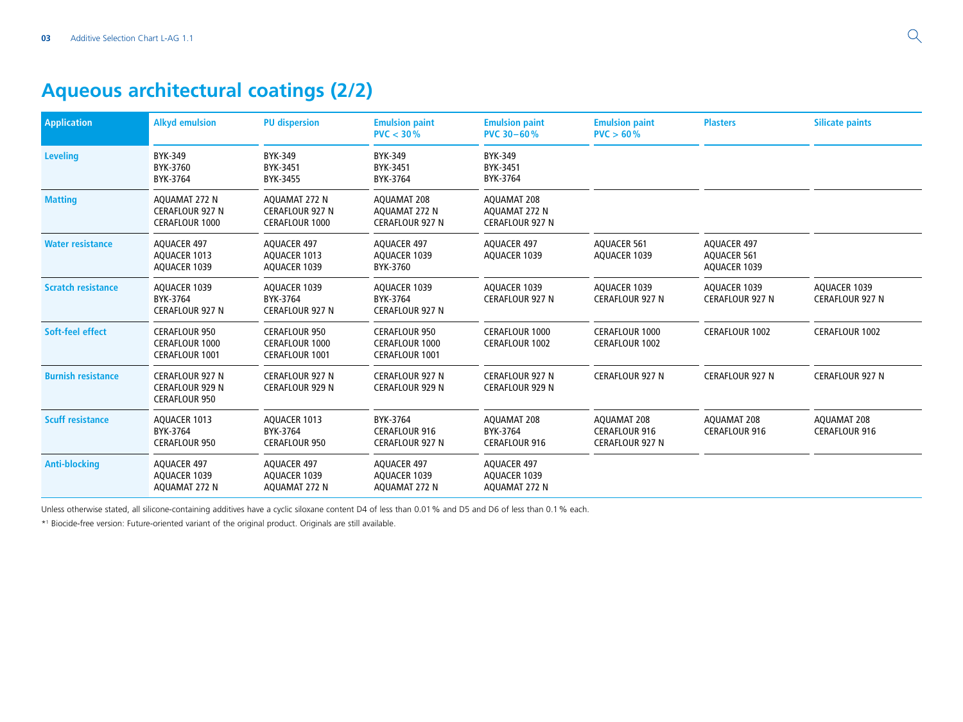## **Aqueous architectural coatings (2/2)**

| <b>Application</b>        | <b>Alkyd emulsion</b>                                                    | <b>PU dispersion</b>                                                   | <b>Emulsion paint</b><br>PVC < 30%                                     | <b>Emulsion paint</b><br><b>PVC 30-60%</b>             | <b>Emulsion paint</b><br>PVC > 60%                            | <b>Plasters</b>                                          | <b>Silicate paints</b>                 |
|---------------------------|--------------------------------------------------------------------------|------------------------------------------------------------------------|------------------------------------------------------------------------|--------------------------------------------------------|---------------------------------------------------------------|----------------------------------------------------------|----------------------------------------|
| <b>Leveling</b>           | BYK-349<br>BYK-3760<br>BYK-3764                                          | BYK-349<br>BYK-3451<br>BYK-3455                                        | <b>BYK-349</b><br>BYK-3451<br>BYK-3764                                 | BYK-349<br>BYK-3451<br>BYK-3764                        |                                                               |                                                          |                                        |
| <b>Matting</b>            | AQUAMAT 272 N<br><b>CERAFLOUR 927 N</b><br><b>CERAFLOUR 1000</b>         | AQUAMAT 272 N<br><b>CERAFLOUR 927 N</b><br><b>CERAFLOUR 1000</b>       | <b>AOUAMAT 208</b><br>AQUAMAT 272 N<br><b>CERAFLOUR 927 N</b>          | AQUAMAT 208<br>AQUAMAT 272 N<br><b>CERAFLOUR 927 N</b> |                                                               |                                                          |                                        |
| <b>Water resistance</b>   | <b>AQUACER 497</b><br>AQUACER 1013<br>AQUACER 1039                       | <b>AQUACER 497</b><br>AQUACER 1013<br>AQUACER 1039                     | <b>AOUACER 497</b><br>AQUACER 1039<br>BYK-3760                         | <b>AQUACER 497</b><br>AQUACER 1039                     | <b>AQUACER 561</b><br>AQUACER 1039                            | <b>AQUACER 497</b><br><b>AQUACER 561</b><br>AQUACER 1039 |                                        |
| <b>Scratch resistance</b> | AQUACER 1039<br>BYK-3764<br><b>CERAFLOUR 927 N</b>                       | AQUACER 1039<br>BYK-3764<br><b>CERAFLOUR 927 N</b>                     | AOUACER 1039<br>BYK-3764<br><b>CERAFLOUR 927 N</b>                     | AOUACER 1039<br><b>CERAFLOUR 927 N</b>                 | AQUACER 1039<br><b>CERAFLOUR 927 N</b>                        | AQUACER 1039<br><b>CERAFLOUR 927 N</b>                   | AOUACER 1039<br><b>CERAFLOUR 927 N</b> |
| Soft-feel effect          | <b>CERAFLOUR 950</b><br><b>CERAFLOUR 1000</b><br><b>CERAFLOUR 1001</b>   | <b>CERAFLOUR 950</b><br><b>CERAFLOUR 1000</b><br><b>CERAFLOUR 1001</b> | <b>CERAFLOUR 950</b><br><b>CERAFLOUR 1000</b><br><b>CERAFLOUR 1001</b> | <b>CERAFLOUR 1000</b><br>CERAFLOUR 1002                | CERAFLOUR 1000<br>CERAFLOUR 1002                              | <b>CERAFLOUR 1002</b>                                    | CERAFLOUR 1002                         |
| <b>Burnish resistance</b> | <b>CERAFLOUR 927 N</b><br><b>CERAFLOUR 929 N</b><br><b>CERAFLOUR 950</b> | <b>CERAFLOUR 927 N</b><br><b>CERAFLOUR 929 N</b>                       | <b>CERAFLOUR 927 N</b><br><b>CERAFLOUR 929 N</b>                       | <b>CERAFLOUR 927 N</b><br><b>CERAFLOUR 929 N</b>       | <b>CERAFLOUR 927 N</b>                                        | <b>CERAFLOUR 927 N</b>                                   | <b>CERAFLOUR 927 N</b>                 |
| <b>Scuff resistance</b>   | AQUACER 1013<br>BYK-3764<br><b>CERAFLOUR 950</b>                         | AQUACER 1013<br>BYK-3764<br><b>CERAFLOUR 950</b>                       | BYK-3764<br><b>CERAFLOUR 916</b><br><b>CERAFLOUR 927 N</b>             | AQUAMAT 208<br>BYK-3764<br><b>CERAFLOUR 916</b>        | AQUAMAT 208<br><b>CERAFLOUR 916</b><br><b>CERAFLOUR 927 N</b> | AQUAMAT 208<br><b>CERAFLOUR 916</b>                      | AQUAMAT 208<br><b>CERAFLOUR 916</b>    |
| <b>Anti-blocking</b>      | <b>AQUACER 497</b><br>AQUACER 1039<br>AQUAMAT 272 N                      | AQUACER 497<br>AQUACER 1039<br>AQUAMAT 272 N                           | AQUACER 497<br>AQUACER 1039<br>AQUAMAT 272 N                           | AQUACER 497<br>AQUACER 1039<br>AQUAMAT 272 N           |                                                               |                                                          |                                        |

Unless otherwise stated, all silicone-containing additives have a cyclic siloxane content D4 of less than 0.01% and D5 and D6 of less than 0.1% each.

\*1 Biocide-free version: Future-oriented variant of the original product. Originals are still available.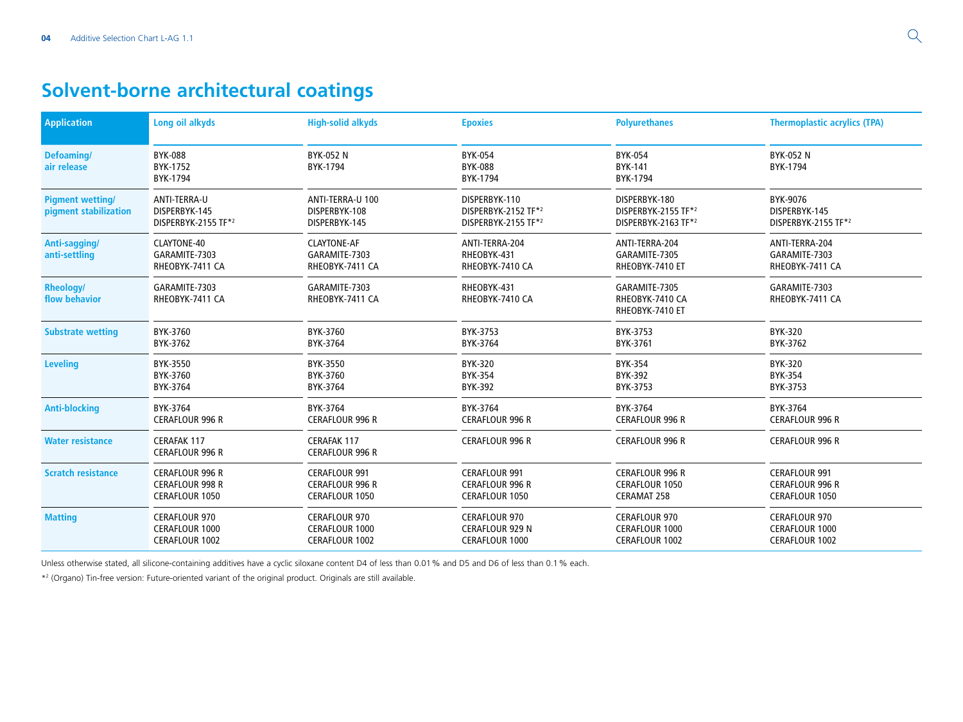# **Solvent-borne architectural coatings**

| <b>Application</b>                               | Long oil alkyds                                                    | <b>High-solid alkyds</b>                                                | <b>Epoxies</b>                                                   | <b>Polyurethanes</b>                                           | <b>Thermoplastic acrylics (TPA)</b>                              |
|--------------------------------------------------|--------------------------------------------------------------------|-------------------------------------------------------------------------|------------------------------------------------------------------|----------------------------------------------------------------|------------------------------------------------------------------|
| Defoaming/<br>air release                        | <b>BYK-088</b><br>BYK-1752<br>BYK-1794                             | BYK-052 N<br>BYK-1794                                                   | BYK-054<br><b>BYK-088</b><br>BYK-1794                            | BYK-054<br>BYK-141<br>BYK-1794                                 | <b>BYK-052 N</b><br>BYK-1794                                     |
| <b>Pigment wetting/</b><br>pigment stabilization | ANTI-TERRA-U<br>DISPERBYK-145<br>DISPERBYK-2155 TF*2               | ANTI-TERRA-U 100<br>DISPERBYK-108<br>DISPERBYK-145                      | DISPERBYK-110<br>DISPERBYK-2152 TF*2<br>DISPERBYK-2155 TF*2      | DISPERBYK-180<br>DISPERBYK-2155 TF*2<br>DISPERBYK-2163 TF*2    | BYK-9076<br>DISPERBYK-145<br>DISPERBYK-2155 TF*2                 |
| Anti-sagging/<br>anti-settling                   | CLAYTONE-40<br>GARAMITE-7303<br>RHEOBYK-7411 CA                    | CLAYTONE-AF<br>GARAMITE-7303<br>RHEOBYK-7411 CA                         | ANTI-TERRA-204<br>RHEOBYK-431<br>RHEOBYK-7410 CA                 | ANTI-TERRA-204<br>GARAMITE-7305<br>RHEOBYK-7410 ET             | ANTI-TERRA-204<br>GARAMITE-7303<br>RHEOBYK-7411 CA               |
| <b>Rheology/</b><br>flow behavior                | GARAMITE-7303<br>RHEOBYK-7411 CA                                   | GARAMITE-7303<br>RHEOBYK-7411 CA                                        | RHEOBYK-431<br>RHEOBYK-7410 CA                                   | GARAMITE-7305<br>RHEOBYK-7410 CA<br>RHEOBYK-7410 ET            | GARAMITE-7303<br>RHEOBYK-7411 CA                                 |
| <b>Substrate wetting</b>                         | BYK-3760<br>BYK-3762                                               | BYK-3760<br>BYK-3764                                                    | BYK-3753<br>BYK-3764                                             | BYK-3753<br>BYK-3761                                           | BYK-320<br>BYK-3762                                              |
| <b>Leveling</b>                                  | BYK-3550<br>BYK-3760<br>BYK-3764                                   | BYK-3550<br>BYK-3760<br>BYK-3764                                        | <b>BYK-320</b><br><b>BYK-354</b><br><b>BYK-392</b>               | <b>BYK-354</b><br>BYK-392<br>BYK-3753                          | BYK-320<br><b>BYK-354</b><br>BYK-3753                            |
| <b>Anti-blocking</b>                             | BYK-3764<br><b>CERAFLOUR 996 R</b>                                 | BYK-3764<br><b>CERAFLOUR 996 R</b>                                      | BYK-3764<br><b>CERAFLOUR 996 R</b>                               | BYK-3764<br><b>CERAFLOUR 996 R</b>                             | BYK-3764<br><b>CERAFLOUR 996 R</b>                               |
| <b>Water resistance</b>                          | <b>CERAFAK 117</b><br><b>CERAFLOUR 996 R</b>                       | CERAFAK 117<br><b>CERAFLOUR 996 R</b>                                   | <b>CERAFLOUR 996 R</b>                                           | <b>CERAFLOUR 996 R</b>                                         | <b>CERAFLOUR 996 R</b>                                           |
| <b>Scratch resistance</b>                        | <b>CERAFLOUR 996 R</b><br>CERAFLOUR 998 R<br><b>CERAFLOUR 1050</b> | <b>CERAFLOUR 991</b><br><b>CERAFLOUR 996 R</b><br><b>CERAFLOUR 1050</b> | <b>CERAFLOUR 991</b><br><b>CERAFLOUR 996 R</b><br>CERAFLOUR 1050 | <b>CERAFLOUR 996 R</b><br>CERAFLOUR 1050<br><b>CERAMAT 258</b> | <b>CERAFLOUR 991</b><br><b>CERAFLOUR 996 R</b><br>CERAFLOUR 1050 |
| <b>Matting</b>                                   | <b>CERAFLOUR 970</b><br>CERAFLOUR 1000<br>CERAFLOUR 1002           | <b>CERAFLOUR 970</b><br>CERAFLOUR 1000<br>CERAFLOUR 1002                | <b>CERAFLOUR 970</b><br><b>CERAFLOUR 929 N</b><br>CERAFLOUR 1000 | <b>CERAFLOUR 970</b><br>CERAFLOUR 1000<br>CERAFLOUR 1002       | <b>CERAFLOUR 970</b><br><b>CERAFLOUR 1000</b><br>CERAFLOUR 1002  |

Unless otherwise stated, all silicone-containing additives have a cyclic siloxane content D4 of less than 0.01% and D5 and D6 of less than 0.1% each.

\*2 (Organo) Tin-free version: Future-oriented variant of the original product. Originals are still available.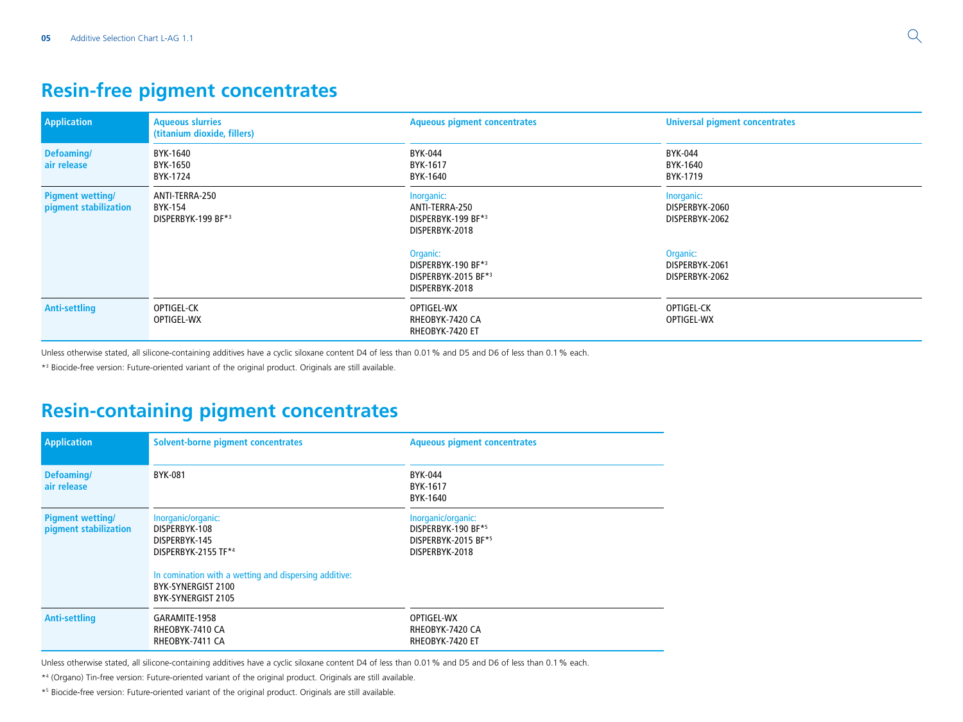### **Resin-free pigment concentrates**

| <b>Application</b>                               | <b>Aqueous slurries</b><br>(titanium dioxide, fillers) | <b>Aqueous pigment concentrates</b>                                            | <b>Universal pigment concentrates</b>          |  |
|--------------------------------------------------|--------------------------------------------------------|--------------------------------------------------------------------------------|------------------------------------------------|--|
| <b>Defoaming/</b><br>air release                 | BYK-1640<br>BYK-1650<br>BYK-1724                       | BYK-044<br>BYK-1617<br>BYK-1640                                                | BYK-044<br>BYK-1640<br>BYK-1719                |  |
| <b>Pigment wetting/</b><br>pigment stabilization | ANTI-TERRA-250<br>BYK-154<br>DISPERBYK-199 BF*3        | Inorganic:<br>ANTI-TERRA-250<br>DISPERBYK-199 BF*3<br>DISPERBYK-2018           | Inorganic:<br>DISPERBYK-2060<br>DISPERBYK-2062 |  |
|                                                  |                                                        | <b>Organic:</b><br>DISPERBYK-190 BF*3<br>DISPERBYK-2015 BF*3<br>DISPERBYK-2018 | Organic:<br>DISPERBYK-2061<br>DISPERBYK-2062   |  |
| <b>Anti-settling</b>                             | OPTIGEL-CK<br>OPTIGEL-WX                               | OPTIGEL-WX<br>RHEOBYK-7420 CA<br>RHEOBYK-7420 ET                               | OPTIGEL-CK<br>OPTIGEL-WX                       |  |

Unless otherwise stated, all silicone-containing additives have a cyclic siloxane content D4 of less than 0.01% and D5 and D6 of less than 0.1% each.

\*3 Biocide-free version: Future-oriented variant of the original product. Originals are still available.

## **Resin-containing pigment concentrates**

| <b>Application</b>                               | Solvent-borne pigment concentrates                                                                                                                                               | <b>Aqueous pigment concentrates</b>                                               |
|--------------------------------------------------|----------------------------------------------------------------------------------------------------------------------------------------------------------------------------------|-----------------------------------------------------------------------------------|
| Defoaming/<br>air release                        | BYK-081                                                                                                                                                                          | BYK-044<br>BYK-1617<br>BYK-1640                                                   |
| <b>Pigment wetting/</b><br>pigment stabilization | Inorganic/organic:<br>DISPERBYK-108<br>DISPERBYK-145<br>DISPERBYK-2155 TF*4<br>In comination with a wetting and dispersing additive:<br>BYK-SYNERGIST 2100<br>BYK-SYNERGIST 2105 | Inorganic/organic:<br>DISPERBYK-190 BF*5<br>DISPERBYK-2015 BF*5<br>DISPERBYK-2018 |
| <b>Anti-settling</b>                             | GARAMITE-1958<br>RHEOBYK-7410 CA<br>RHEOBYK-7411 CA                                                                                                                              | OPTIGEL-WX<br>RHEOBYK-7420 CA<br>RHEOBYK-7420 ET                                  |

Unless otherwise stated, all silicone-containing additives have a cyclic siloxane content D4 of less than 0.01% and D5 and D6 of less than 0.1% each.

\*4 (Organo) Tin-free version: Future-oriented variant of the original product. Originals are still available.

\*5 Biocide-free version: Future-oriented variant of the original product. Originals are still available.